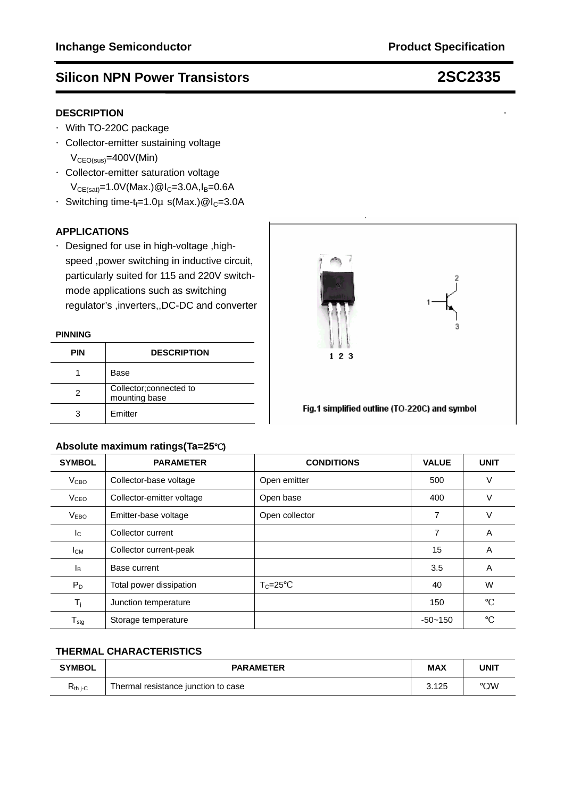# **DESCRIPTION**

- ·With TO-220C package
- ·Collector-emitter sustaining voltage  $V_{\text{CEO(sus)}} = 400V(\text{Min})$
- ·Collector-emitter saturation voltage  $V_{CE(sat)} = 1.0V(Max.)@I_C = 3.0A,I_B = 0.6A$
- Switching time-t<sub>f</sub>=1.0µ s(Max.)@I<sub>C</sub>=3.0A

## **APPLICATIONS**

·Designed for use in high-voltage ,high speed ,power switching in inductive circuit, particularly suited for 115 and 220V switchmode applications such as switching regulator's ,inverters,,DC-DC and converter

### **PINNING**

| <b>PIN</b> | <b>DESCRIPTION</b>                       |
|------------|------------------------------------------|
|            | Base                                     |
|            | Collector; connected to<br>mounting base |
|            | Emitter                                  |

## **Absolute maximum ratings(Ta=25**℃**)**

| Absolute maximum ratings (Ta=25 |                           |                   |              |             |  |
|---------------------------------|---------------------------|-------------------|--------------|-------------|--|
| <b>SYMBOL</b>                   | <b>PARAMETER</b>          | <b>CONDITIONS</b> | <b>VALUE</b> | <b>UNIT</b> |  |
| V <sub>CBO</sub>                | Collector-base voltage    | Open emitter      | 500          | ٧           |  |
| <b>V<sub>CEO</sub></b>          | Collector-emitter voltage | Open base         | 400          | V           |  |
| V <sub>EBO</sub>                | Emitter-base voltage      | Open collector    | 7            | V           |  |
| $I_{\rm C}$                     | Collector current         |                   | 7            | A           |  |
| Iсм                             | Collector current-peak    |                   | 15           | A           |  |
| l <sub>B</sub>                  | Base current              |                   | 3.5          | A           |  |
| $P_D$                           | Total power dissipation   | $T_c = 25$        | 40           | W           |  |
| $T_{\rm j}$                     | Junction temperature      |                   | 150          |             |  |
| ${\mathsf T}_{\text{stg}}$      | Storage temperature       |                   | $-50 - 150$  |             |  |

 $123$ 

Fig.1 simplified outline (TO-220C) and symbol

## **THERMAL CHARACTERISTICS**

| <b>SYMBOL</b> | <b>PARAMETER</b>                    | <b>MAX</b> | <b>UNIT</b> |
|---------------|-------------------------------------|------------|-------------|
| $R_{th i-C}$  | Thermal resistance junction to case | 3.125      | /W          |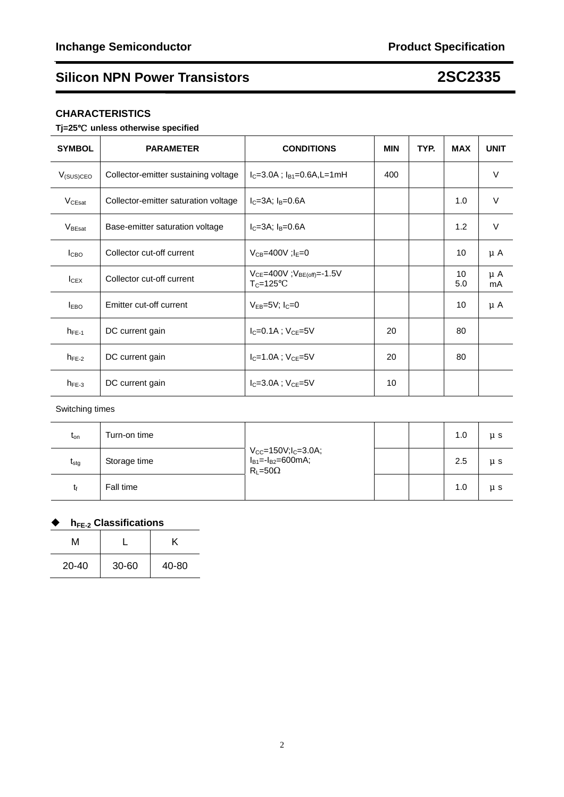## **CHARACTERISTICS**

## **Tj=25**℃ **unless otherwise specified**

| <b>SYMBOL</b>                     | <b>PARAMETER</b>                     | <b>CONDITIONS</b>                                      | <b>MIN</b> | TYP. | <b>MAX</b> | <b>UNIT</b>   |
|-----------------------------------|--------------------------------------|--------------------------------------------------------|------------|------|------------|---------------|
| $V_{(SUS)CEO}$                    | Collector-emitter sustaining voltage | $I_C = 3.0A$ ; $I_B = 0.6A$ , L = 1 mH                 | 400        |      |            | $\vee$        |
| $V_{CEsat}$                       | Collector-emitter saturation voltage | $I_C = 3A$ ; $I_B = 0.6A$                              |            |      | 1.0        | $\vee$        |
| $V_{\footnotesize{\text{BEsat}}}$ | Base-emitter saturation voltage      | $I_C = 3A$ ; $I_B = 0.6A$                              |            |      | 1.2        | $\vee$        |
| I <sub>CBO</sub>                  | Collector cut-off current            | $V_{CB} = 400V$ ; $I_E = 0$                            |            |      | 10         | μA            |
| $I_{CEX}$                         | Collector cut-off current            | $V_{CE} = 400V$ ; $V_{BE(off)} = -1.5V$<br>$T_c = 125$ |            |      | 10<br>5.0  | $\mu$ A<br>mA |
| <b>IEBO</b>                       | Emitter cut-off current              | $V_{EB} = 5V$ ; $I_C = 0$                              |            |      | 10         | μA            |
| $h_{FE-1}$                        | DC current gain                      | $I_{C} = 0.1A$ ; $V_{CE} = 5V$                         | 20         |      | 80         |               |
| $h_{FE-2}$                        | DC current gain                      | $I_{C} = 1.0A$ ; $V_{CF} = 5V$                         | 20         |      | 80         |               |
| $h_{FE-3}$                        | DC current gain                      | $I_{C} = 3.0A$ ; $V_{CE} = 5V$                         | 10         |      |            |               |

## Switching times

| $t_{\text{on}}$ | Turn-on time | $V_{CC} = 150V; l_C = 3.0A; l_{B1} = -l_{B2} = 600mA;$<br>$R_L = 50$ |  | 1.0 | μs      |
|-----------------|--------------|----------------------------------------------------------------------|--|-----|---------|
| $t_{\rm stg}$   | Storage time |                                                                      |  | 2.5 | $\mu$ s |
| โf              | Fall time    |                                                                      |  | 1.0 | μs      |

## ◆ h<sub>FE-2</sub> Classifications

| м         |           |       |
|-----------|-----------|-------|
| $20 - 40$ | $30 - 60$ | 40-80 |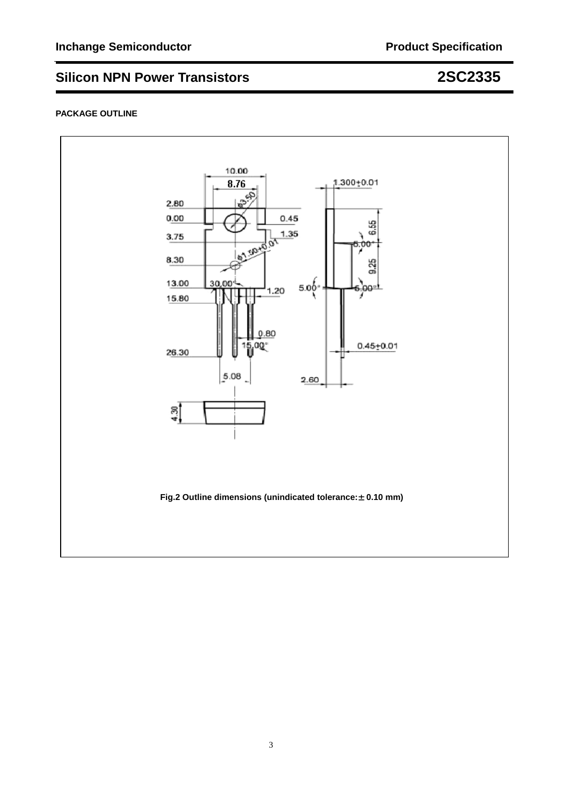## **PACKAGE OUTLINE**